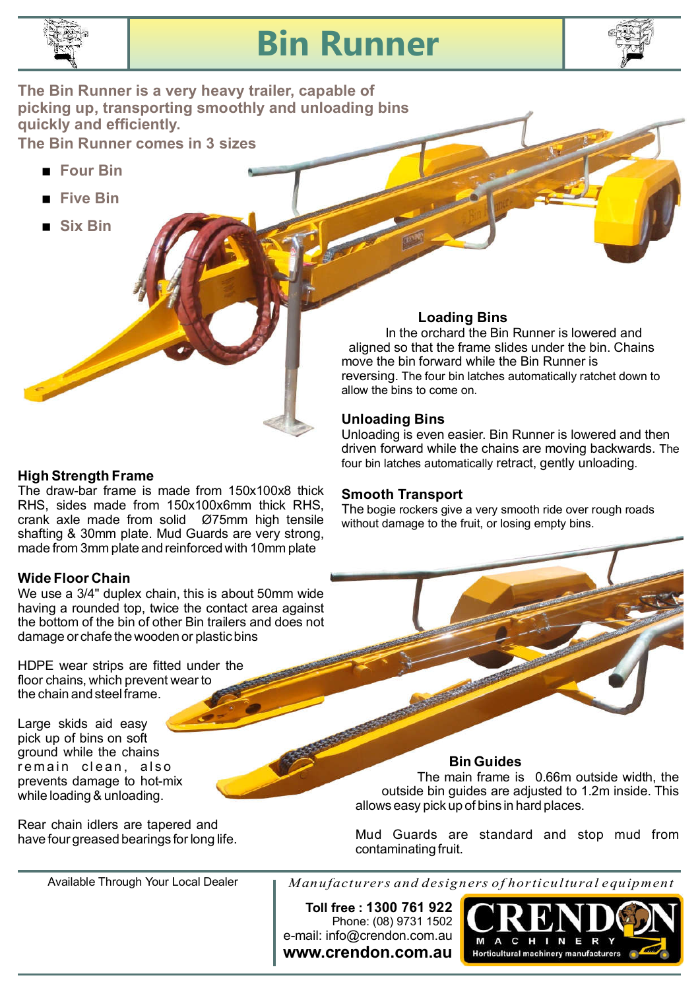

## **Bin Runner**



**The Bin Runner is a very heavy trailer, capable of picking up, transporting smoothly and unloading bins quickly and efficiently.**

**The Bin Runner comes in 3 sizes**

- < **Four Bin**
- < **Five Bin**
- < **Six Bin**

### In the orchard the Bin Runner is lowered and

**Loading Bins**

aligned so that the frame slides under the bin. Chains move the bin forward while the Bin Runner is reversing. The four bin latches automatically ratchet down to allow the bins to come on.

### **Unloading Bins**

Unloading is even easier. Bin Runner is lowered and then driven forward while the chains are moving backwards. The four bin latches automatically retract, gently unloading.

### **Smooth Transport**

The bogie rockers give a very smooth ride over rough roads without damage to the fruit, or losing empty bins.

### The draw-bar frame is made from 150x100x8 thick **High Strength Frame**

RHS, sides made from 150x100x6mm thick RHS, crank axle made from solid Ø75mm high tensile shafting & 30mm plate. Mud Guards are very strong, made from 3mm plate and reinforced with 10mm plate

### **Wide Floor Chain**

We use a 3/4" duplex chain, this is about 50mm wide having a rounded top, twice the contact area against the bottom of the bin of other Bin trailers and does not damage or chafe the wooden or plastic bins

HDPE wear strips are fitted under the floor chains, which prevent wear to the chain and steel frame.

Large skids aid easy pick up of bins on soft ground while the chains remain clean, also prevents damage to hot-mix while loading & unloading.

Rear chain idlers are tapered and have four greased bearings for long life.

Available Through Your Local Dealer

**Bin Guides**

The main frame is 0.66m outside width, the outside bin guides are adjusted to 1.2m inside. This allows easy pick up of bins in hard places.

Mud Guards are standard and stop mud from contaminating fruit.

*Manufacturers and designers of horticultural equipment*

**www.crendon.com.au** e-mail: info@crendon.com.au Phone: (08) 9731 1502 **Toll free : 1300 761 922**